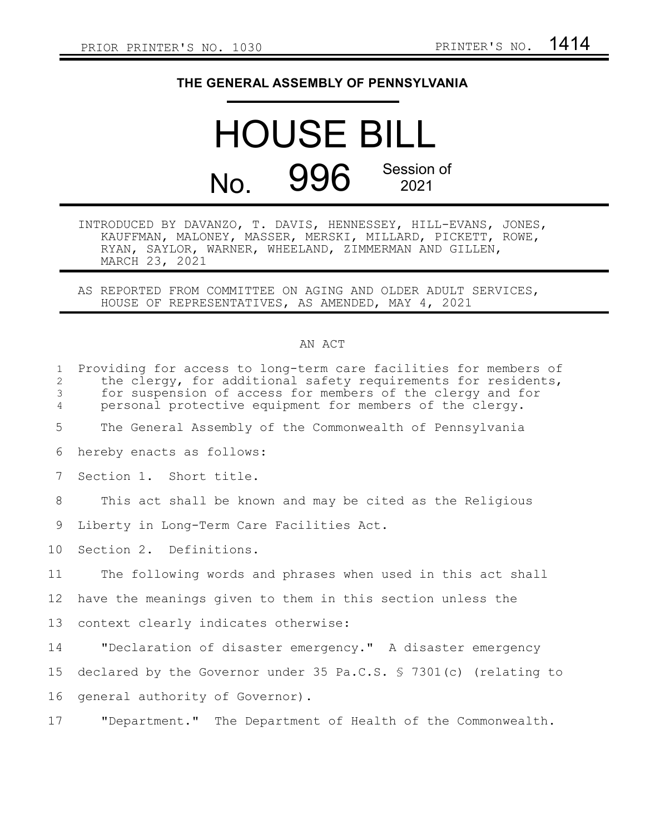## **THE GENERAL ASSEMBLY OF PENNSYLVANIA**

## HOUSE BILL No. 996 Session of 2021

INTRODUCED BY DAVANZO, T. DAVIS, HENNESSEY, HILL-EVANS, JONES, KAUFFMAN, MALONEY, MASSER, MERSKI, MILLARD, PICKETT, ROWE, RYAN, SAYLOR, WARNER, WHEELAND, ZIMMERMAN AND GILLEN, MARCH 23, 2021

AS REPORTED FROM COMMITTEE ON AGING AND OLDER ADULT SERVICES, HOUSE OF REPRESENTATIVES, AS AMENDED, MAY 4, 2021

## AN ACT

| $\mathbf{1}$<br>2<br>3<br>$\overline{4}$ | Providing for access to long-term care facilities for members of<br>the clergy, for additional safety requirements for residents,<br>for suspension of access for members of the clergy and for<br>personal protective equipment for members of the clergy. |
|------------------------------------------|-------------------------------------------------------------------------------------------------------------------------------------------------------------------------------------------------------------------------------------------------------------|
| 5                                        | The General Assembly of the Commonwealth of Pennsylvania                                                                                                                                                                                                    |
| 6                                        | hereby enacts as follows:                                                                                                                                                                                                                                   |
| 7                                        | Section 1. Short title.                                                                                                                                                                                                                                     |
| 8                                        | This act shall be known and may be cited as the Religious                                                                                                                                                                                                   |
| 9                                        | Liberty in Long-Term Care Facilities Act.                                                                                                                                                                                                                   |
| 10 <sub>o</sub>                          | Section 2. Definitions.                                                                                                                                                                                                                                     |
| 11                                       | The following words and phrases when used in this act shall                                                                                                                                                                                                 |
| 12                                       | have the meanings given to them in this section unless the                                                                                                                                                                                                  |
| 13                                       | context clearly indicates otherwise:                                                                                                                                                                                                                        |
| 14                                       | "Declaration of disaster emergency." A disaster emergency                                                                                                                                                                                                   |
| 15                                       | declared by the Governor under 35 Pa.C.S. § 7301(c) (relating to                                                                                                                                                                                            |
| 16                                       | general authority of Governor).                                                                                                                                                                                                                             |
| 17                                       | "Department." The Department of Health of the Commonwealth.                                                                                                                                                                                                 |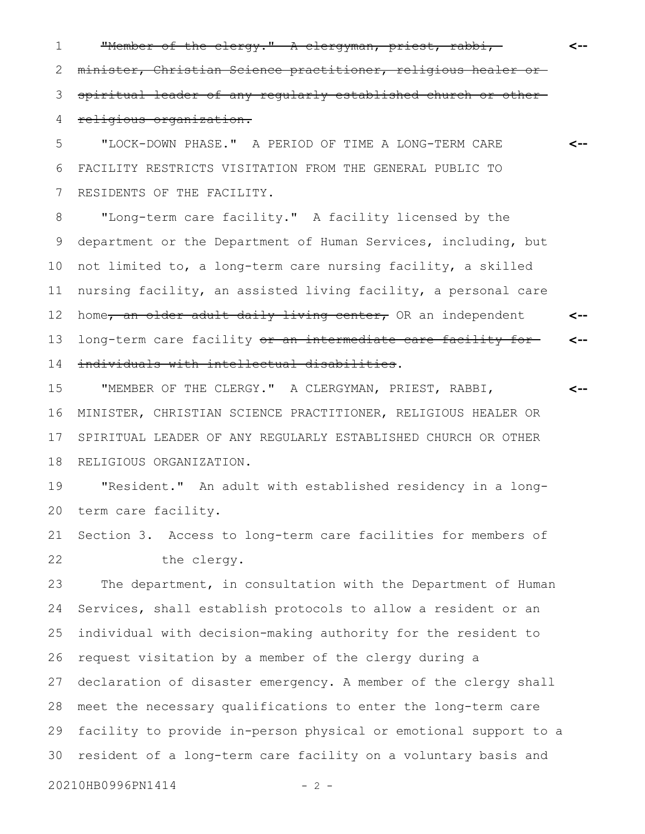"Member of the clergy." A clergyman, priest, rabbi,minister, Christian Science practitioner, religious healer or spiritual leader of any regularly established church or other religious organization. 1 2 3 4

"LOCK-DOWN PHASE." A PERIOD OF TIME A LONG-TERM CARE FACILITY RESTRICTS VISITATION FROM THE GENERAL PUBLIC TO RESIDENTS OF THE FACILITY. 5 6 7

"Long-term care facility." A facility licensed by the department or the Department of Human Services, including, but not limited to, a long-term care nursing facility, a skilled nursing facility, an assisted living facility, a personal care home, an older adult daily living center, OR an independent long-term care facility or an intermediate care facility forindividuals with intellectual disabilities. **<-- <--** 8 9 10 11 12 13 14

"MEMBER OF THE CLERGY." A CLERGYMAN, PRIEST, RABBI, MINISTER, CHRISTIAN SCIENCE PRACTITIONER, RELIGIOUS HEALER OR SPIRITUAL LEADER OF ANY REGULARLY ESTABLISHED CHURCH OR OTHER RELIGIOUS ORGANIZATION. 15 16 17 18

"Resident." An adult with established residency in a longterm care facility. 19 20

Section 3. Access to long-term care facilities for members of the clergy. 21 22

The department, in consultation with the Department of Human Services, shall establish protocols to allow a resident or an individual with decision-making authority for the resident to request visitation by a member of the clergy during a declaration of disaster emergency. A member of the clergy shall meet the necessary qualifications to enter the long-term care facility to provide in-person physical or emotional support to a resident of a long-term care facility on a voluntary basis and 23 24 25 26 27 28 29 30

20210HB0996PN1414 - 2 -

**<--**

**<--**

**<--**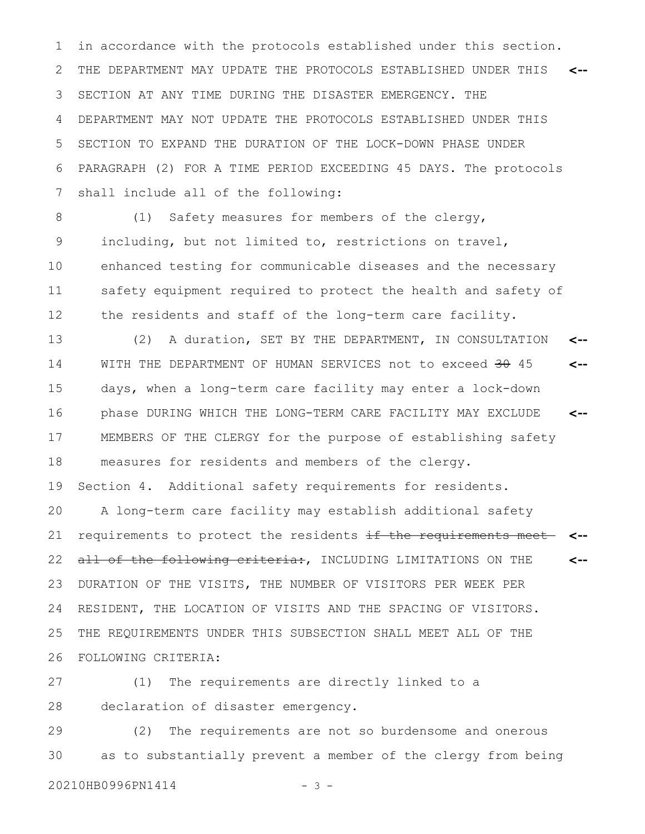in accordance with the protocols established under this section. THE DEPARTMENT MAY UPDATE THE PROTOCOLS ESTABLISHED UNDER THIS SECTION AT ANY TIME DURING THE DISASTER EMERGENCY. THE DEPARTMENT MAY NOT UPDATE THE PROTOCOLS ESTABLISHED UNDER THIS SECTION TO EXPAND THE DURATION OF THE LOCK-DOWN PHASE UNDER PARAGRAPH (2) FOR A TIME PERIOD EXCEEDING 45 DAYS. The protocols shall include all of the following: **<--** 1 2 3 4 5 6 7

(1) Safety measures for members of the clergy, including, but not limited to, restrictions on travel, enhanced testing for communicable diseases and the necessary safety equipment required to protect the health and safety of the residents and staff of the long-term care facility. 8 9 10 11 12

(2) A duration, SET BY THE DEPARTMENT, IN CONSULTATION WITH THE DEPARTMENT OF HUMAN SERVICES not to exceed 30 45 days, when a long-term care facility may enter a lock-down phase DURING WHICH THE LONG-TERM CARE FACILITY MAY EXCLUDE MEMBERS OF THE CLERGY for the purpose of establishing safety measures for residents and members of the clergy. **<-- <-- <--** 13 14 15 16 17 18

Section 4. Additional safety requirements for residents. 19

A long-term care facility may establish additional safety requirements to protect the residents if the requirements meet all of the following criteria:, INCLUDING LIMITATIONS ON THE DURATION OF THE VISITS, THE NUMBER OF VISITORS PER WEEK PER RESIDENT, THE LOCATION OF VISITS AND THE SPACING OF VISITORS. THE REQUIREMENTS UNDER THIS SUBSECTION SHALL MEET ALL OF THE FOLLOWING CRITERIA: **<-- <--** 20 21 22 23 24 25 26

(1) The requirements are directly linked to a declaration of disaster emergency. 27 28

(2) The requirements are not so burdensome and onerous as to substantially prevent a member of the clergy from being 29 30

20210HB0996PN1414 - 3 -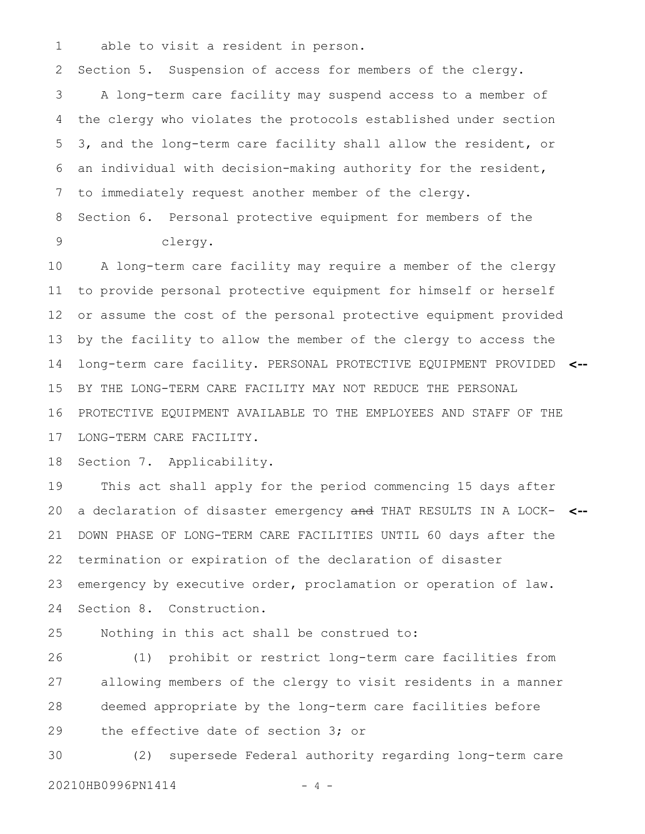able to visit a resident in person. 1

Section 5. Suspension of access for members of the clergy. 2

A long-term care facility may suspend access to a member of the clergy who violates the protocols established under section 3, and the long-term care facility shall allow the resident, or an individual with decision-making authority for the resident, to immediately request another member of the clergy. 3 4 5 6 7

Section 6. Personal protective equipment for members of the clergy. 8 9

A long-term care facility may require a member of the clergy to provide personal protective equipment for himself or herself or assume the cost of the personal protective equipment provided by the facility to allow the member of the clergy to access the long-term care facility. PERSONAL PROTECTIVE EQUIPMENT PROVIDED **<--** BY THE LONG-TERM CARE FACILITY MAY NOT REDUCE THE PERSONAL PROTECTIVE EQUIPMENT AVAILABLE TO THE EMPLOYEES AND STAFF OF THE LONG-TERM CARE FACILITY. 10 11 12 13 14 15 16 17

Section 7. Applicability. 18

This act shall apply for the period commencing 15 days after a declaration of disaster emergency and THAT RESULTS IN A LOCK-**<--** DOWN PHASE OF LONG-TERM CARE FACILITIES UNTIL 60 days after the termination or expiration of the declaration of disaster emergency by executive order, proclamation or operation of law. Section 8. Construction. 19 20 21 22 23 24

Nothing in this act shall be construed to: 25

(1) prohibit or restrict long-term care facilities from allowing members of the clergy to visit residents in a manner deemed appropriate by the long-term care facilities before the effective date of section 3; or 26 27 28 29

(2) supersede Federal authority regarding long-term care 20210HB0996PN1414 - 4 -30